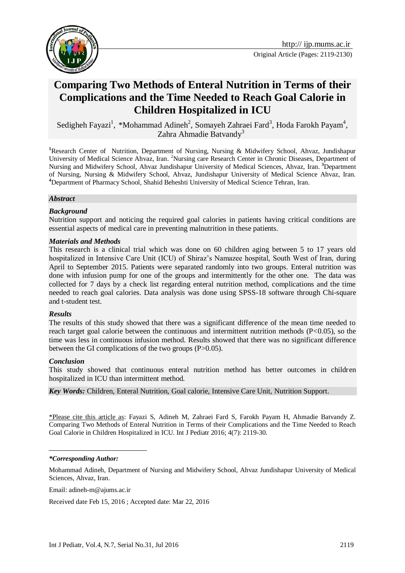

# **Comparing Two Methods of Enteral Nutrition in Terms of their Complications and the Time Needed to Reach Goal Calorie in Children Hospitalized in ICU**

Sedigheh Fayazi<sup>1</sup>, \*Mohammad Adineh<sup>2</sup>, Somayeh Zahraei Fard<sup>3</sup>, Hoda Farokh Payam<sup>4</sup>, Zahra Ahmadie Batvandy<sup>3</sup>

**<sup>1</sup>**Research Center of Nutrition, Department of Nursing, Nursing & Midwifery School, Ahvaz, Jundishapur University of Medical Science Ahvaz, Iran. <sup>2</sup>Nursing care Research Center in Chronic Diseases, Department of Nursing and Midwifery School, Ahvaz Jundishapur University of Medical Sciences, Ahvaz, Iran. **<sup>3</sup>**Department of Nursing, Nursing & Midwifery School, Ahvaz, Jundishapur University of Medical Science Ahvaz, Iran. **<sup>4</sup>**Department of Pharmacy School, Shahid Beheshti University of Medical Science Tehran, Iran.

#### *Abstract*

#### *Background*

Nutrition support and noticing the required goal calories in patients having critical conditions are essential aspects of medical care in preventing malnutrition in these patients.

#### *Materials and Methods*

This research is a clinical trial which was done on 60 children aging between 5 to 17 years old hospitalized in Intensive Care Unit (ICU) of Shiraz's Namazee hospital, South West of Iran, during April to September 2015. Patients were separated randomly into two groups. Enteral nutrition was done with infusion pump for one of the groups and intermittently for the other one. The data was collected for 7 days by a check list regarding enteral nutrition method, complications and the time needed to reach goal calories. Data analysis was done using SPSS-18 software through Chi-square and t-student test.

#### *Results*

The results of this study showed that there was a significant difference of the mean time needed to reach target goal calorie between the continuous and intermittent nutrition methods (P<0.05), so the time was less in continuous infusion method. Results showed that there was no significant difference between the GI complications of the two groups (P>0.05).

#### *Conclusion*

1

This study showed that continuous enteral nutrition method has better outcomes in children hospitalized in ICU than intermittent method.

*Key Words:* Children, Enteral Nutrition, Goal calorie, Intensive Care Unit, Nutrition Support.

\*Please cite this article as: Fayazi S, Adineh M, Zahraei Fard S, Farokh Payam H, Ahmadie Batvandy Z. Comparing Two Methods of Enteral Nutrition in Terms of their Complications and the Time Needed to Reach Goal Calorie in Children Hospitalized in ICU. Int J Pediatr 2016; 4(7): 2119-30.

Email: adineh-m@ajums.ac.ir

Received date Feb 15, 2016 ; Accepted date: Mar 22, 2016

*<sup>\*</sup>Corresponding Author:*

Mohammad Adineh, Department of Nursing and Midwifery School, Ahvaz Jundishapur University of Medical Sciences, Ahvaz, Iran.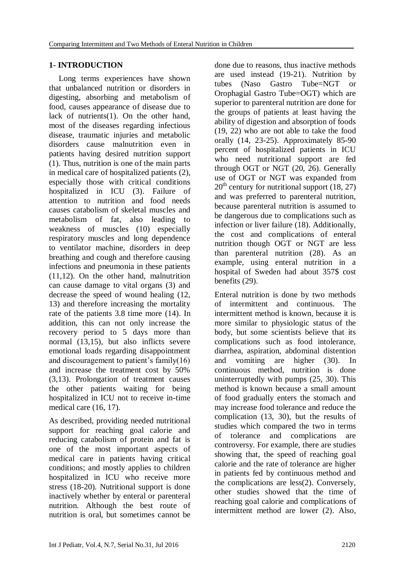## **1- INTRODUCTION**

Long terms experiences have shown that unbalanced nutrition or disorders in digesting, absorbing and metabolism of food, causes appearance of disease due to lack of nutrients(1). On the other hand, most of the diseases regarding infectious disease, traumatic injuries and metabolic disorders cause malnutrition even in patients having desired nutrition support (1). Thus, nutrition is one of the main parts in medical care of hospitalized patients (2), especially those with critical conditions hospitalized in ICU (3). Failure of attention to nutrition and food needs causes catabolism of skeletal muscles and metabolism of fat, also leading to weakness of muscles (10) especially respiratory muscles and long dependence to ventilator machine, disorders in deep breathing and cough and therefore causing infections and pneumonia in these patients (11,12). On the other hand, malnutrition can cause damage to vital organs (3) and decrease the speed of wound healing (12, 13) and therefore increasing the mortality rate of the patients 3.8 time more (14). In addition, this can not only increase the recovery period to 5 days more than normal (13,15), but also inflicts severe emotional loads regarding disappointment and discouragement to patient's family(16) and increase the treatment cost by 50% (3,13). Prolongation of treatment causes the other patients waiting for being hospitalized in ICU not to receive in-time medical care (16, 17).

As described, providing needed nutritional support for reaching goal calorie and reducing catabolism of protein and fat is one of the most important aspects of medical care in patients having critical conditions; and mostly applies to children hospitalized in ICU who receive more stress (18-20). Nutritional support is done inactively whether by enteral or parenteral nutrition. Although the best route of nutrition is oral, but sometimes cannot be

done due to reasons, thus inactive methods are used instead (19-21). Nutrition by tubes (Naso Gastro Tube=NGT or Orophagial Gastro Tube=OGT) which are superior to parenteral nutrition are done for the groups of patients at least having the ability of digestion and absorption of foods (19, 22) who are not able to take the food orally (14, 23-25). Approximately 85-90 percent of hospitalized patients in ICU who need nutritional support are fed through OGT or NGT (20, 26). Generally use of OGT or NGT was expanded from  $20<sup>th</sup>$  century for nutritional support (18, 27) and was preferred to parenteral nutrition, because parenteral nutrition is assumed to be dangerous due to complications such as infection or liver failure (18). Additionally, the cost and complications of enteral nutrition though OGT or NGT are less than parenteral nutrition (28). As an example, using enteral nutrition in a hospital of Sweden had about 357\$ cost benefits (29).

Enteral nutrition is done by two methods of intermittent and continuous. The intermittent method is known, because it is more similar to physiologic status of the body, but some scientists believe that its complications such as food intolerance, diarrhea, aspiration, abdominal distention and vomiting are higher (30). In continuous method, nutrition is done uninterruptedly with pumps (25, 30). This method is known because a small amount of food gradually enters the stomach and may increase food tolerance and reduce the complication (13, 30), but the results of studies which compared the two in terms of tolerance and complications are controversy. For example, there are studies showing that, the speed of reaching goal calorie and the rate of tolerance are higher in patients fed by continuous method and the complications are less(2). Conversely, other studies showed that the time of reaching goal calorie and complications of intermittent method are lower (2). Also,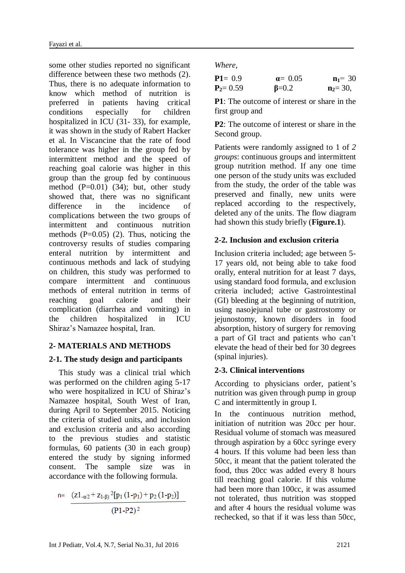some other studies reported no significant difference between these two methods (2). Thus, there is no adequate information to know which method of nutrition is preferred in patients having critical conditions especially for children hospitalized in ICU (31- 33), for example, it was shown in the study of Rabert Hacker et al. In Viscancine that the rate of food tolerance was higher in the group fed by intermittent method and the speed of reaching goal calorie was higher in this group than the group fed by continuous method (P=0.01) (34); but, other study showed that, there was no significant difference in the incidence of complications between the two groups of intermittent and continuous nutrition methods  $(P=0.05)$  (2). Thus, noticing the controversy results of studies comparing enteral nutrition by intermittent and continuous methods and lack of studying on children, this study was performed to compare intermittent and continuous methods of enteral nutrition in terms of reaching goal calorie and their complication (diarrhea and vomiting) in the children hospitalized in ICU Shiraz's Namazee hospital, Iran.

### **2- MATERIALS AND METHODS**

### **2-1. The study design and participants**

This study was a clinical trial which was performed on the children aging 5-17 who were hospitalized in ICU of Shiraz's Namazee hospital, South West of Iran, during April to September 2015. Noticing the criteria of studied units, and inclusion and exclusion criteria and also according to the previous studies and statistic formulas, 60 patients (30 in each group) entered the study by signing informed consent. The sample size was in accordance with the following formula.

$$
n = \frac{(z1_{-\alpha/2} + z_{1-\beta})^2 [p_1(1-p_1) + p_2(1-p_2)]}{(P1-P2)^2}
$$

*Where*,

| $P1 = 0.9$   | $\alpha = 0.05$ | $n_1 = 30$  |
|--------------|-----------------|-------------|
| $P_2 = 0.59$ | $\beta = 0.2$   | $n_2 = 30,$ |

**P1**: The outcome of interest or share in the first group and

**P2**: The outcome of interest or share in the Second group.

Patients were randomly assigned to 1 of *2 groups*: continuous groups and intermittent group nutrition method. If any one time one person of the study units was excluded from the study, the order of the table was preserved and finally, new units were replaced according to the respectively, deleted any of the units. The flow diagram had shown this study briefly (**Figure.1**).

## **2-2. Inclusion and exclusion criteria**

Inclusion criteria included; age between 5- 17 years old, not being able to take food orally, enteral nutrition for at least 7 days, using standard food formula, and exclusion criteria included; active [Gastrointestinal](https://www.google.com/url?sa=t&rct=j&q=&esrc=s&source=web&cd=2&cad=rja&uact=8&ved=0ahUKEwjD273z1abNAhXG6xoKHU3hCEkQFggmMAE&url=http%3A%2F%2Fwww.emedicinehealth.com%2Fgastrointestinal_bleeding%2Farticle_em.htm&usg=AFQjCNHX58hhrxxgsJkPCRAEBNSd4oL59A&sig2=uSYcMFfxkg-DJzrh4k_vFQ) )GI( bleeding at the beginning of nutrition, using nasojejunal tube or gastrostomy or jejunostomy, known disorders in food absorption, history of surgery for removing a part of GI tract and patients who can't elevate the head of their bed for 30 degrees (spinal injuries).

## **2-3. Clinical interventions**

According to physicians order, patient's nutrition was given through pump in group C and intermittently in group I.

In the continuous nutrition method, initiation of nutrition was 20cc per hour. Residual volume of stomach was measured through aspiration by a 60cc syringe every 4 hours. If this volume had been less than 50cc, it meant that the patient tolerated the food, thus 20cc was added every 8 hours till reaching goal calorie. If this volume had been more than 100cc, it was assumed not tolerated, thus nutrition was stopped and after 4 hours the residual volume was rechecked, so that if it was less than 50cc,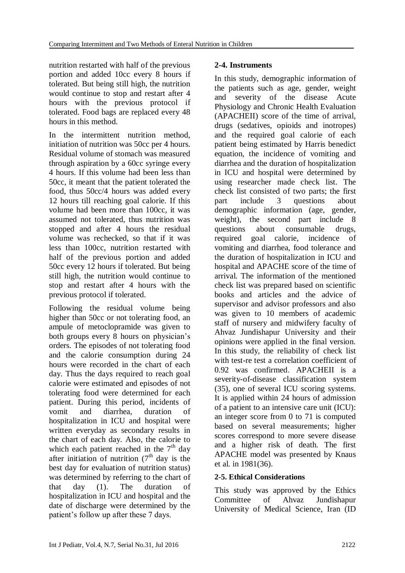nutrition restarted with half of the previous portion and added 10cc every 8 hours if tolerated. But being still high, the nutrition would continue to stop and restart after 4 hours with the previous protocol if tolerated. Food bags are replaced every 48 hours in this method.

In the intermittent nutrition method, initiation of nutrition was 50cc per 4 hours. Residual volume of stomach was measured through aspiration by a 60cc syringe every 4 hours. If this volume had been less than 50cc, it meant that the patient tolerated the food, thus 50cc/4 hours was added every 12 hours till reaching goal calorie. If this volume had been more than 100cc, it was assumed not tolerated, thus nutrition was stopped and after 4 hours the residual volume was rechecked, so that if it was less than 100cc, nutrition restarted with half of the previous portion and added 50cc every 12 hours if tolerated. But being still high, the nutrition would continue to stop and restart after 4 hours with the previous protocol if tolerated.

Following the residual volume being higher than 50cc or not tolerating food, an ampule of metoclopramide was given to both groups every 8 hours on physician's orders. The episodes of not tolerating food and the calorie consumption during 24 hours were recorded in the chart of each day. Thus the days required to reach goal calorie were estimated and episodes of not tolerating food were determined for each patient. During this period, incidents of vomit and diarrhea, duration of hospitalization in ICU and hospital were written everyday as secondary results in the chart of each day. Also, the calorie to which each patient reached in the  $7<sup>th</sup>$  day after initiation of nutrition  $(7<sup>th</sup>$  day is the best day for evaluation of nutrition status) was determined by referring to the chart of that day (1). The duration of hospitalization in ICU and hospital and the date of discharge were determined by the patient's follow up after these 7 days.

## **2-4. Instruments**

In this study, demographic information of the patients such as age, gender, weight and severity of the disease [Acute](https://www.google.com/url?sa=t&rct=j&q=&esrc=s&source=web&cd=4&cad=rja&uact=8&ved=0ahUKEwia3oqc1ZXNAhWFOxQKHUqRApEQFgg4MAM&url=http%3A%2F%2Fclincalc.com%2Ficumortality%2Fapacheii.aspx&usg=AFQjCNEiWaeeWIPP_CQEW18i_zvialhiIQ&sig2=1ob-tBeboZqDdU3C8_XdLg)  [Physiology and Chronic Health Evaluation](https://www.google.com/url?sa=t&rct=j&q=&esrc=s&source=web&cd=4&cad=rja&uact=8&ved=0ahUKEwia3oqc1ZXNAhWFOxQKHUqRApEQFgg4MAM&url=http%3A%2F%2Fclincalc.com%2Ficumortality%2Fapacheii.aspx&usg=AFQjCNEiWaeeWIPP_CQEW18i_zvialhiIQ&sig2=1ob-tBeboZqDdU3C8_XdLg) (APACHEII) score of the time of arrival, drugs (sedatives, opioids and inotropes) and the required goal calorie of each patient being estimated by Harris benedict equation, the incidence of vomiting and diarrhea and the duration of hospitalization in ICU and hospital were determined by using researcher made check list. The check list consisted of two parts; the first part include 3 questions about demographic information (age, gender, weight), the second part include 8 questions about consumable drugs, required goal calorie, incidence of vomiting and diarrhea, food tolerance and the duration of hospitalization in ICU and hospital and APACHE score of the time of arrival. The information of the mentioned check list was prepared based on scientific books and articles and the advice of supervisor and advisor professors and also was given to 10 members of academic staff of nursery and midwifery faculty of Ahvaz Jundishapur University and their opinions were applied in the final version. In this study, the reliability of check list with test-re test a correlation coefficient of 0.92 was confirmed. APACHEII is a severity-of-disease classification system (35), one of several [ICU scoring systems.](https://en.wikipedia.org/wiki/ICU_scoring_systems) It is applied within 24 hours of admission of a patient to an [intensive care unit](https://en.wikipedia.org/wiki/Intensive_care_unit) (ICU): an integer score from 0 to 71 is computed based on several measurements; higher scores correspond to more severe disease and a higher risk of death. The first APACHE model was presented by Knaus et al. in 1981(36).

## **2-5. Ethical Considerations**

This study was approved by the Ethics Committee of Ahvaz Jundishapur University of Medical Science, Iran (ID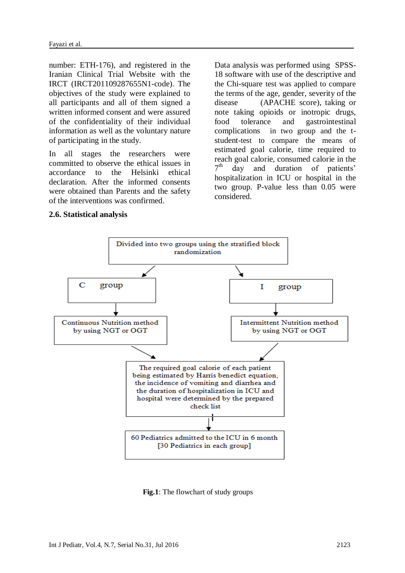number: ETH-176), and registered in the Iranian Clinical Trial Website with the IRCT (IRCT201109287655N1-code). The objectives of the study were explained to all participants and all of them signed a written informed consent and were assured of the confidentiality of their individual information as well as the voluntary nature of participating in the study.

In all stages the researchers were committed to observe the ethical issues in accordance to the Helsinki ethical declaration. After the informed consents were obtained than Parents and the safety of the interventions was confirmed.

Data analysis was performed using SPSS-18 software with use of the descriptive and the Chi-square test was applied to compare the terms of the age, gender, severity of the disease (APACHE score), taking or note taking opioids or inotropic drugs, food tolerance and gastrointestinal complications in two group and the tstudent-test to compare the means of estimated goal calorie, time required to reach goal calorie, consumed calorie in the  $7^{\text{th}}$ day and duration of patients' hospitalization in ICU or hospital in the two group. P-value less than 0.05 were considered.

#### **2.6. Statistical analysis**



 **Fig.1**: The flowchart of study groups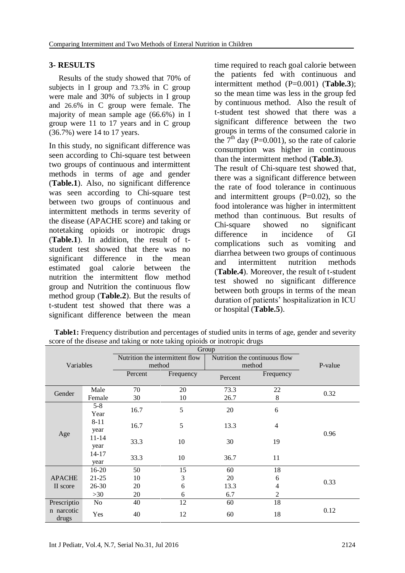#### **3- RESULTS**

Results of the study showed that 70% of subjects in I group and 73.3% in C group were male and 30% of subjects in I group and 26.6% in C group were female. The majority of mean sample age (66.6%) in I group were 11 to 17 years and in C group (36.7%) were 14 to 17 years.

In this study, no significant difference was seen according to Chi-square test between two groups of continuous and intermittent methods in terms of age and gender (**Table.1**). Also, no significant difference was seen according to Chi-square test between two groups of continuous and intermittent methods in terms severity of the disease (APACHE score) and taking or notetaking opioids or inotropic drugs (**Table.1**). In addition, the result of tstudent test showed that there was no significant difference in the mean estimated goal calorie between the nutrition the intermittent flow method group and Nutrition the continuous flow method group (**Table.2**). But the results of t-student test showed that there was a significant difference between the mean

time required to reach goal calorie between the patients fed with continuous and intermittent method (P=0.001) (**Table.3**); so the mean time was less in the group fed by continuous method. Also the result of t-student test showed that there was a significant difference between the two groups in terms of the consumed calorie in the  $7<sup>th</sup>$  day (P=0.001), so the rate of calorie consumption was higher in continuous than the intermittent method (**Table.3**). The result of Chi-square test showed that, there was a significant difference between the rate of food tolerance in continuous and intermittent groups  $(P=0.02)$ , so the food intolerance was higher in intermittent method than continuous. But results of Chi-square showed no significant difference in incidence of GI complications such as vomiting and diarrhea between two groups of continuous and intermittent nutrition methods (**Table.4**). Moreover, the result of t-student test showed no significant difference

between both groups in terms of the mean duration of patients' hospitalization in ICU or hospital (**Table.5**).

| <b>Table1:</b> Frequency distribution and percentages of studied units in terms of age, gender and severity |
|-------------------------------------------------------------------------------------------------------------|
| score of the disease and taking or note taking opioids or inotropic drugs                                   |

|                     |           |                                                                  | Group     |         |           |      |
|---------------------|-----------|------------------------------------------------------------------|-----------|---------|-----------|------|
| Variables           |           | Nutrition the intermittent flow<br>Nutrition the continuous flow |           |         | P-value   |      |
|                     |           | method                                                           |           | method  |           |      |
|                     |           |                                                                  | Frequency | Percent | Frequency |      |
|                     | Male      | 70                                                               | 20        | 73.3    | 22        |      |
| Gender              | Female    | 30                                                               | 10        | 26.7    | 8         | 0.32 |
|                     | $5 - 8$   | 16.7                                                             | 5         | 20      | 6         |      |
|                     | Year      |                                                                  |           |         |           |      |
| Age                 | $8 - 11$  | 16.7                                                             | 5         | 13.3    | 4<br>19   |      |
|                     | year      |                                                                  |           |         |           | 0.96 |
|                     | $11 - 14$ | 33.3                                                             | 10        | 30      |           |      |
|                     | year      |                                                                  |           |         |           |      |
|                     | 14-17     | 33.3                                                             | 10        | 36.7    | 11        |      |
|                     | year      |                                                                  |           |         |           |      |
|                     | $16-20$   | 50                                                               | 15        | 60      | 18        |      |
| <b>APACHE</b>       | $21 - 25$ | 10                                                               | 3         | 20      | 6         | 0.33 |
| II score            | $26 - 30$ | 20                                                               | 6         | 13.3    | 4         |      |
|                     | >30       | 20                                                               | 6         | 6.7     | 2         |      |
| Prescriptio         | No        | 40                                                               | 12        | 60      | 18        |      |
| n narcotic<br>drugs | Yes       | 40                                                               | 12        | 60      | 18        | 0.12 |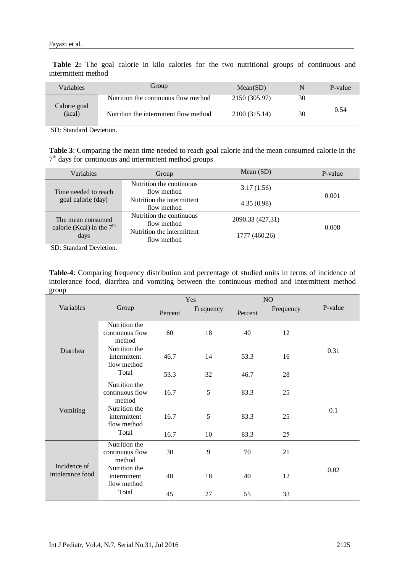**Table 2:** The goal calorie in kilo calories for the two nutritional groups of continuous and intermittent method

| <b>Variables</b>       | Group                                  | Mean(SD)      |    | P-value |
|------------------------|----------------------------------------|---------------|----|---------|
|                        | Nutrition the continuous flow method   | 2150 (305.97) | 30 |         |
| Calorie goal<br>(kcal) | Nutrition the intermittent flow method | 2100 (315.14) | 30 | 0.54    |

SD: Standard Devietion.

**Table 3**: Comparing the mean time needed to reach goal calorie and the mean consumed calorie in the 7<sup>th</sup> days for continuous and intermittent method groups

| Variables                                                | Group                                                   | Mean $(SD)$      | P-value |
|----------------------------------------------------------|---------------------------------------------------------|------------------|---------|
| Time needed to reach                                     | Nutrition the continuous<br>3.17(1.56)<br>flow method   |                  | 0.001   |
| goal calorie (day)                                       | Nutrition the intermittent<br>4.35(0.98)<br>flow method |                  |         |
| The mean consumed<br>calorie (Kcal) in the $7th$<br>days | Nutrition the continuous<br>flow method                 | 2090.33 (427.31) |         |
|                                                          | Nutrition the intermittent<br>flow method               | 1777 (460.26)    | 0.008   |

SD: Standard Devietion.

**Table-4**: Comparing frequency distribution and percentage of studied units in terms of incidence of intolerance food, diarrhea and vomiting between the continuous method and intermittent method group

|                                  |                                              | Yes     |           | N <sub>O</sub> |           |         |
|----------------------------------|----------------------------------------------|---------|-----------|----------------|-----------|---------|
| Variables                        | Group                                        | Percent | Frequency | Percent        | Frequency | P-value |
| Diarrhea                         | Nutrition the<br>continuous flow<br>method   | 60      | 18        | 40             | 12        |         |
|                                  | Nutrition the<br>intermittent<br>flow method | 46.7    | 14        | 53.3           | 16        | 0.31    |
|                                  | Total                                        | 53.3    | 32        | 46.7           | 28        |         |
| Vomiting                         | Nutrition the<br>continuous flow<br>method   | 16.7    | 5         | 83.3           | 25        |         |
|                                  | Nutrition the<br>intermittent<br>flow method | 16.7    | 5         | 83.3           | 25        | 0.1     |
|                                  | Total                                        | 16.7    | 10        | 83.3           | 25        |         |
| Incidence of<br>intolerance food | Nutrition the<br>continuous flow<br>method   | 30      | 9         | 70             | 21        |         |
|                                  | Nutrition the<br>intermittent<br>flow method | 40      | 18        | 40             | 12        | 0.02    |
|                                  | Total                                        | 45      | 27        | 55             | 33        |         |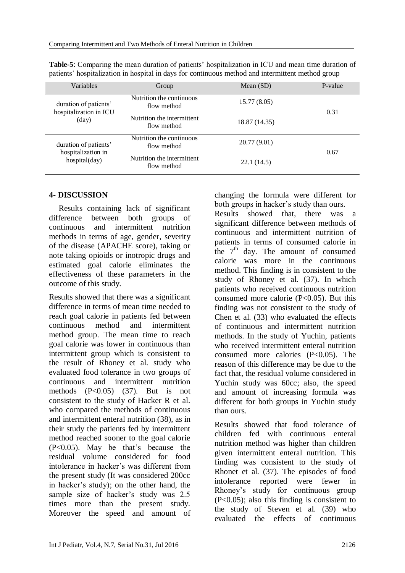| Variables                                                    | Group                                     | Mean $(SD)$   | P-value |  |
|--------------------------------------------------------------|-------------------------------------------|---------------|---------|--|
| duration of patients'<br>hospitalization in ICU<br>(day)     | Nutrition the continuous<br>flow method   | 15.77 (8.05)  | 0.31    |  |
|                                                              | Nutrition the intermittent<br>flow method | 18.87 (14.35) |         |  |
| duration of patients'<br>hospitalization in<br>hospital(day) | Nutrition the continuous<br>flow method   | 20.77(9.01)   | 0.67    |  |
|                                                              | Nutrition the intermittent<br>flow method | 22.1(14.5)    |         |  |

**Table-5**: Comparing the mean duration of patients' hospitalization in ICU and mean time duration of patients' hospitalization in hospital in days for continuous method and intermittent method group

### **4- DISCUSSION**

Results containing lack of significant difference between both groups of continuous and intermittent nutrition methods in terms of age, gender, severity of the disease (APACHE score), taking or note taking opioids or inotropic drugs and estimated goal calorie eliminates the effectiveness of these parameters in the outcome of this study.

Results showed that there was a significant difference in terms of mean time needed to reach goal calorie in patients fed between continuous method and intermittent method group. The mean time to reach goal calorie was lower in continuous than intermittent group which is consistent to the result of Rhoney et al. study who evaluated food tolerance in two groups of continuous and intermittent nutrition methods  $(P<0.05)$   $(37)$ . But is not consistent to the study of Hacker R et al. who compared the methods of continuous and intermittent enteral nutrition (38), as in their study the patients fed by intermittent method reached sooner to the goal calorie (P<0.05). May be that's because the residual volume considered for food intolerance in hacker's was different from the present study (It was considered 200cc in hacker's study); on the other hand, the sample size of hacker's study was 2.5 times more than the present study. Moreover the speed and amount of changing the formula were different for both groups in hacker's study than ours.

Results showed that, there was a significant difference between methods of continuous and intermittent nutrition of patients in terms of consumed calorie in the  $7<sup>th</sup>$  day. The amount of consumed calorie was more in the continuous method. This finding is in consistent to the study of Rhoney et al. (37). In which patients who received continuous nutrition consumed more calorie  $(P<0.05)$ . But this finding was not consistent to the study of Chen et al. (33) who evaluated the effects of continuous and intermittent nutrition methods. In the study of Yuchin, patients who received intermittent enteral nutrition consumed more calories (P<0.05). The reason of this difference may be due to the fact that, the residual volume considered in Yuchin study was 60cc; also, the speed and amount of increasing formula was different for both groups in Yuchin study than ours.

Results showed that food tolerance of children fed with continuous enteral nutrition method was higher than children given intermittent enteral nutrition. This finding was consistent to the study of Rhonet et al. (37). The episodes of food intolerance reported were fewer in Rhoney's study for continuous group (P<0.05); also this finding is consistent to the study of Steven et al. (39) who evaluated the effects of continuous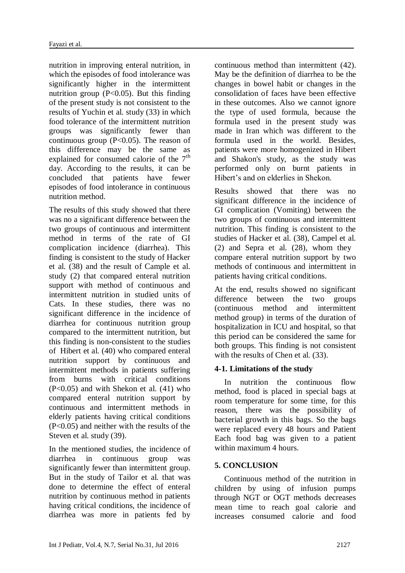nutrition in improving enteral nutrition, in which the episodes of food intolerance was significantly higher in the intermittent nutrition group  $(P<0.05)$ . But this finding of the present study is not consistent to the results of Yuchin et al. study (33) in which food tolerance of the intermittent nutrition groups was significantly fewer than continuous group (P<0.05). The reason of this difference may be the same as explained for consumed calorie of the  $7<sup>th</sup>$ day. According to the results, it can be concluded that patients have fewer episodes of food intolerance in continuous nutrition method.

The results of this study showed that there was no a significant difference between the two groups of continuous and intermittent method in terms of the rate of GI complication incidence (diarrhea). This finding is consistent to the study of Hacker et al. (38) and the result of Cample et al. study (2) that compared enteral nutrition support with method of continuous and intermittent nutrition in studied units of Cats. In these studies, there was no significant difference in the incidence of diarrhea for continuous nutrition group compared to the intermittent nutrition, but this finding is non-consistent to the studies of Hibert et al. (40) who compared enteral nutrition support by continuous and intermittent methods in patients suffering from burns with critical conditions  $(P<0.05)$  and with Shekon et al.  $(41)$  who compared enteral nutrition support by continuous and intermittent methods in elderly patients having critical conditions (P<0.05) and neither with the results of the Steven et al. study (39).

In the mentioned studies, the incidence of diarrhea in continuous group was significantly fewer than intermittent group. But in the study of Tailor et al. that was done to determine the effect of enteral nutrition by continuous method in patients having critical conditions, the incidence of diarrhea was more in patients fed by continuous method than intermittent (42). May be the definition of diarrhea to be the changes in bowel habit or changes in the consolidation of faces have been effective in these outcomes. Also we cannot ignore the type of used formula, because the formula used in the present study was made in Iran which was different to the formula used in the world. Besides, patients were more homogenized in Hibert and Shakon's study, as the study was performed only on burnt patients in Hibert's and on elderlies in Shekon.

Results showed that there was no significant difference in the incidence of GI complication (Vomiting) between the two groups of continuous and intermittent nutrition. This finding is consistent to the studies of Hacker et al. (38), Campel et al. (2) and Sepra et al. (28), whom they compare enteral nutrition support by two methods of continuous and intermittent in patients having critical conditions.

At the end, results showed no significant difference between the two groups (continuous method and intermittent method group) in terms of the duration of hospitalization in ICU and hospital, so that this period can be considered the same for both groups. This finding is not consistent with the results of Chen et al. (33).

### **4-1. Limitations of the study**

In nutrition the continuous flow method, food is placed in special bags at room temperature for some time, for this reason, there was the possibility of bacterial growth in this bags. So the bags were replaced every 48 hours and Patient Each food bag was given to a patient within maximum 4 hours.

## **5. CONCLUSION**

Continuous method of the nutrition in children by using of infusion pumps through NGT or OGT methods decreases mean time to reach goal calorie and increases consumed calorie and food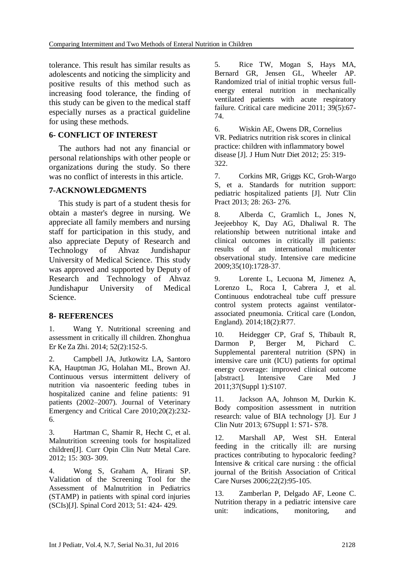tolerance. This result has similar results as adolescents and noticing the simplicity and positive results of this method such as increasing food tolerance, the finding of this study can be given to the medical staff especially nurses as a practical guideline for using these methods.

### **6- CONFLICT OF INTEREST**

The authors had not any financial or personal relationships with other people or organizations during the study. So there was no conflict of interests in this article.

### **7-ACKNOWLEDGMENTS**

This study is part of a student thesis for obtain a master's degree in nursing. We appreciate all family members and nursing staff for participation in this study, and also appreciate Deputy of Research and Technology of Ahvaz Jundishapur University of Medical Science. This study was approved and supported by Deputy of Research and Technology of Ahvaz Jundishapur University of Medical Science.

## **8- REFERENCES**

1. [Wang Y](http://www.ncbi.nlm.nih.gov/pubmed/?term=Wang%20Y%5BAuthor%5D&cauthor=true&cauthor_uid=24739731). Nutritional screening and assessment in critically ill children. [Zhonghua](http://www.ncbi.nlm.nih.gov/pubmed/24739731)  [Er Ke Za Zhi.](http://www.ncbi.nlm.nih.gov/pubmed/24739731) 2014; 52(2):152-5.

2. Campbell JA, Jutkowitz LA, Santoro KA, Hauptman JG, Holahan ML, Brown AJ. Continuous versus intermittent delivery of nutrition via nasoenteric feeding tubes in hospitalized canine and feline patients: 91 patients (2002–2007). Journal of Veterinary Emergency and Critical Care 2010;20(2):232- 6.

3. Hartman C, Shamir R, Hecht C, et al. Malnutrition screening tools for hospitalized children[J]. Curr Opin Clin Nutr Metal Care. 2012; 15: 303- 309.

4. Wong S, Graham A, Hirani SP. Validation of the Screening Tool for the Assessment of Malnutrition in Pediatrics (STAMP) in patients with spinal cord injuries (SCIs)[J]. Spinal Cord 2013; 51: 424- 429.

5. Rice TW, Mogan S, Hays MA, Bernard GR, Jensen GL, Wheeler AP. Randomized trial of initial trophic versus fullenergy enteral nutrition in mechanically ventilated patients with acute respiratory failure. Critical care medicine 2011; 39(5):67- 74.

6. Wiskin AE, Owens DR, Cornelius VR. Pediatrics nutrition risk scores in clinical practice: children with inflammatory bowel disease [J]. J Hum Nutr Diet 2012; 25: 319- 322.

7. Corkins MR, Griggs KC, Groh-Wargo S, et a. Standards for nutrition support: pediatric hospitalized patients [J]. Nutr Clin Pract 2013; 28: 263- 276.

8. Alberda C, Gramlich L, Jones N, Jeejeebhoy K, Day AG, Dhaliwal R. The relationship between nutritional intake and clinical outcomes in critically ill patients: results of an international multicenter observational study. Intensive care medicine 2009;35(10):1728-37.

9. Lorente L, Lecuona M, Jimenez A, Lorenzo L, Roca I, Cabrera J, et al. Continuous endotracheal tube cuff pressure control system protects against ventilatorassociated pneumonia. Critical care (London, England). 2014;18(2):R77.

10. Heidegger CP, Graf S, Thibault R, Darmon P, Berger M, Pichard C. Supplemental parenteral nutrition (SPN) in intensive care unit (ICU) patients for optimal energy coverage: improved clinical outcome [abstract]. Intensive Care Med J 2011;37(Suppl 1):S107.

11. Jackson AA, Johnson M, Durkin K. Body composition assessment in nutrition research: value of BIA technology [J]. Eur J Clin Nutr 2013; 67Suppl 1: S71- S78.

12. Marshall AP, West SH. Enteral feeding in the critically ill: are nursing practices contributing to hypocaloric feeding? Intensive & critical care nursing : the official journal of the British Association of Critical Care Nurses 2006;22(2):95-105.

13. Zamberlan P, Delgado AF, Leone C. Nutrition therapy in a pediatric intensive care unit: indications, monitoring, and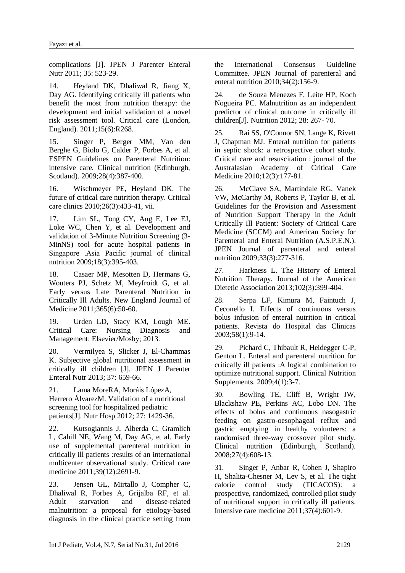complications [J]. JPEN J Parenter Enteral Nutr 2011; 35: 523-29.

14. Heyland DK, Dhaliwal R, Jiang X, Day AG. Identifying critically ill patients who benefit the most from nutrition therapy: the development and initial validation of a novel risk assessment tool. Critical care (London, England). 2011;15(6):R268.

15. Singer P, Berger MM, Van den Berghe G, Biolo G, Calder P, Forbes A, et al. ESPEN Guidelines on Parenteral Nutrition: intensive care. Clinical nutrition (Edinburgh, Scotland). 2009;28(4):387-400.

16. Wischmeyer PE, Heyland DK. The future of critical care nutrition therapy. Critical care clinics 2010;26(3):433-41, vii.

17. Lim SL, Tong CY, Ang E, Lee EJ, Loke WC, Chen Y, et al. Development and validation of 3-Minute Nutrition Screening (3- MinNS) tool for acute hospital patients in Singapore .Asia Pacific journal of clinical nutrition 2009;18(3):395-403.

18. Casaer MP, Mesotten D, Hermans G, Wouters PJ, Schetz M, Meyfroidt G, et al. Early versus Late Parenteral Nutrition in Critically Ill Adults. New England Journal of Medicine 2011;365(6):50-60.

19. Urden LD, Stacy KM, Lough ME. Critical Care: Nursing Diagnosis and Management: Elsevier/Mosby; 2013.

20. Vermilyea S, Slicker J, El-Chammas K. Subjective global nutritional assessment in critically ill children [J]. JPEN J Parenter Enteral Nutr 2013; 37: 659-66.

21. Lama MoreRA, Moráis LópezA, Herrero ÁlvarezM. Validation of a nutritional screening tool for hospitalized pediatric patients[J]. Nutr Hosp 2012; 27: 1429-36.

22. Kutsogiannis J, Alberda C, Gramlich L, Cahill NE, Wang M, Day AG, et al. Early use of supplemental parenteral nutrition in critically ill patients :results of an international multicenter observational study. Critical care medicine 2011;39(12):2691-9.

23. Jensen GL, Mirtallo J, Compher C, Dhaliwal R, Forbes A, Grijalba RF, et al. Adult starvation and disease-related malnutrition: a proposal for etiology-based diagnosis in the clinical practice setting from

the International Consensus Guideline Committee. JPEN Journal of parenteral and enteral nutrition 2010;34(2):156-9.

24. de Souza Menezes F, Leite HP, Koch Nogueira PC. Malnutrition as an independent predictor of clinical outcome in critically ill children[J]. Nutrition 2012; 28: 267- 70.

25. Rai SS, O'Connor SN, Lange K, Rivett J, Chapman MJ. Enteral nutrition for patients in septic shock: a retrospective cohort study. Critical care and resuscitation : journal of the Australasian Academy of Critical Care Medicine 2010;12(3):177-81.

26. McClave SA, Martindale RG, Vanek VW, McCarthy M, Roberts P, Taylor B, et al. Guidelines for the Provision and Assessment of Nutrition Support Therapy in the Adult Critically Ill Patient: Society of Critical Care Medicine (SCCM) and American Society for Parenteral and Enteral Nutrition (A.S.P.E.N.). JPEN Journal of parenteral and enteral nutrition 2009;33(3):277-316.

27. Harkness L. The History of Enteral Nutrition Therapy. Journal of the American Dietetic Association 2013;102(3):399-404.

28. Serpa LF, Kimura M, Faintuch J, Ceconello I. Effects of continuous versus bolus infusion of enteral nutrition in critical patients. Revista do Hospital das Clinicas 2003;58(1):9-14.

29. Pichard C, Thibault R, Heidegger C-P, Genton L. Enteral and parenteral nutrition for critically ill patients :A logical combination to optimize nutritional support. Clinical Nutrition Supplements. 2009;4(1):3-7.

30. Bowling TE, Cliff B, Wright JW, Blackshaw PE, Perkins AC, Lobo DN. The effects of bolus and continuous nasogastric feeding on gastro-oesophageal reflux and gastric emptying in healthy volunteers: a randomised three-way crossover pilot study. Clinical nutrition (Edinburgh, Scotland). 2008;27(4):608-13.

31. Singer P, Anbar R, Cohen J, Shapiro H, Shalita-Chesner M, Lev S, et al. The tight calorie control study (TICACOS): a prospective, randomized, controlled pilot study of nutritional support in critically ill patients. Intensive care medicine 2011;37(4):601-9.